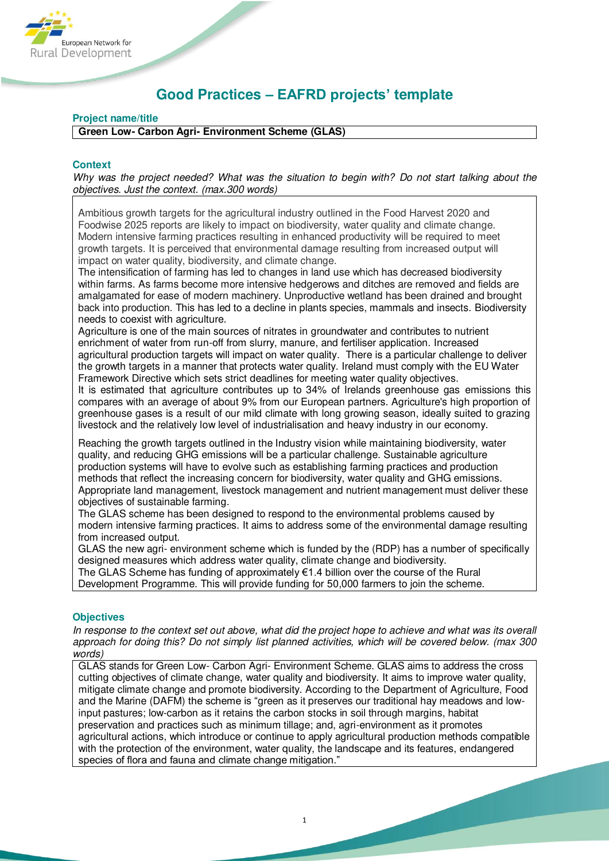

# **Good Practices – EAFRD projects' template**

# **Project name/title**

**Green Low- Carbon Agri- Environment Scheme (GLAS)** 

# **Context**

*Why was the project needed? What was the situation to begin with? Do not start talking about the objectives. Just the context. (max.300 words)* 

Ambitious growth targets for the agricultural industry outlined in the Food Harvest 2020 and Foodwise 2025 reports are likely to impact on biodiversity, water quality and climate change. Modern intensive farming practices resulting in enhanced productivity will be required to meet growth targets. It is perceived that environmental damage resulting from increased output will impact on water quality, biodiversity, and climate change.

The intensification of farming has led to changes in land use which has decreased biodiversity within farms. As farms become more intensive hedgerows and ditches are removed and fields are amalgamated for ease of modern machinery. Unproductive wetland has been drained and brought back into production. This has led to a decline in plants species, mammals and insects. Biodiversity needs to coexist with agriculture.

Agriculture is one of the main sources of nitrates in groundwater and contributes to nutrient enrichment of water from run-off from slurry, manure, and fertiliser application. Increased agricultural production targets will impact on water quality. There is a particular challenge to deliver the growth targets in a manner that protects water quality. Ireland must comply with the EU Water Framework Directive which sets strict deadlines for meeting water quality objectives.

It is estimated that agriculture contributes up to 34% of Irelands greenhouse gas emissions this compares with an average of about 9% from our European partners. Agriculture's high proportion of greenhouse gases is a result of our mild climate with long growing season, ideally suited to grazing livestock and the relatively low level of industrialisation and heavy industry in our economy.

Reaching the growth targets outlined in the Industry vision while maintaining biodiversity, water quality, and reducing GHG emissions will be a particular challenge. Sustainable agriculture production systems will have to evolve such as establishing farming practices and production methods that reflect the increasing concern for biodiversity, water quality and GHG emissions. Appropriate land management, livestock management and nutrient management must deliver these objectives of sustainable farming.

The GLAS scheme has been designed to respond to the environmental problems caused by modern intensive farming practices. It aims to address some of the environmental damage resulting from increased output.

GLAS the new agri- environment scheme which is funded by the (RDP) has a number of specifically designed measures which address water quality, climate change and biodiversity.

The GLAS Scheme has funding of approximately €1.4 billion over the course of the Rural Development Programme. This will provide funding for 50,000 farmers to join the scheme.

# **Objectives**

*In response to the context set out above, what did the project hope to achieve and what was its overall approach for doing this? Do not simply list planned activities, which will be covered below. (max 300 words)* 

GLAS stands for Green Low- Carbon Agri- Environment Scheme. GLAS aims to address the cross cutting objectives of climate change, water quality and biodiversity. It aims to improve water quality, mitigate climate change and promote biodiversity. According to the Department of Agriculture, Food and the Marine (DAFM) the scheme is "green as it preserves our traditional hay meadows and lowinput pastures; low-carbon as it retains the carbon stocks in soil through margins, habitat preservation and practices such as minimum tillage; and, agri-environment as it promotes agricultural actions, which introduce or continue to apply agricultural production methods compatible with the protection of the environment, water quality, the landscape and its features, endangered species of flora and fauna and climate change mitigation."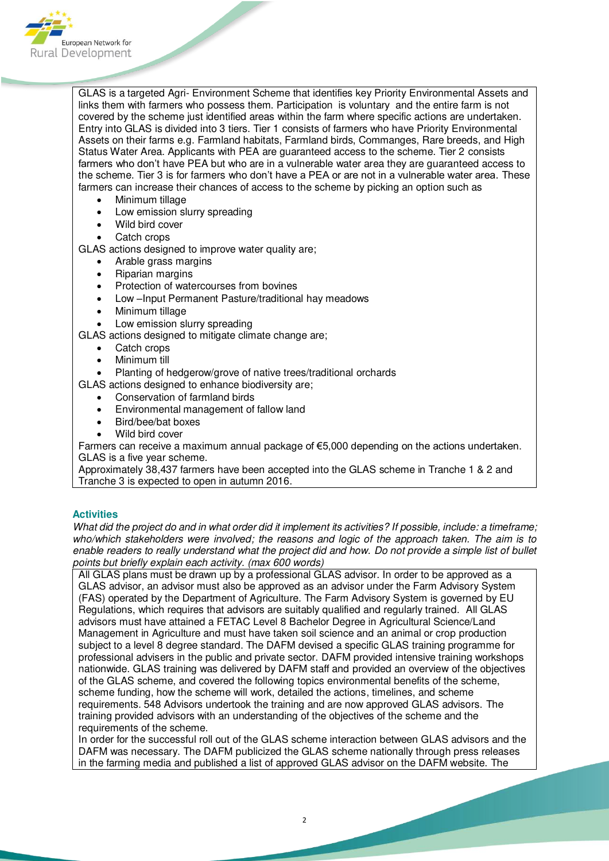

GLAS is a targeted Agri- Environment Scheme that identifies key Priority Environmental Assets and links them with farmers who possess them. Participation is voluntary and the entire farm is not covered by the scheme just identified areas within the farm where specific actions are undertaken. Entry into GLAS is divided into 3 tiers. Tier 1 consists of farmers who have Priority Environmental Assets on their farms e.g. Farmland habitats, Farmland birds, Commanges, Rare breeds, and High Status Water Area. Applicants with PEA are guaranteed access to the scheme. Tier 2 consists farmers who don't have PEA but who are in a vulnerable water area they are guaranteed access to the scheme. Tier 3 is for farmers who don't have a PEA or are not in a vulnerable water area. These farmers can increase their chances of access to the scheme by picking an option such as

- Minimum tillage
- Low emission slurry spreading
- Wild bird cover
- Catch crops

GLAS actions designed to improve water quality are;

- Arable grass margins
- Riparian margins
- Protection of watercourses from bovines
- Low –Input Permanent Pasture/traditional hay meadows
- Minimum tillage
- Low emission slurry spreading

GLAS actions designed to mitigate climate change are;

- Catch crops
- Minimum till
- Planting of hedgerow/grove of native trees/traditional orchards

GLAS actions designed to enhance biodiversity are;

- Conservation of farmland birds
- Environmental management of fallow land
- Bird/bee/bat boxes
- Wild bird cover

Farmers can receive a maximum annual package of €5,000 depending on the actions undertaken. GLAS is a five year scheme.

Approximately 38,437 farmers have been accepted into the GLAS scheme in Tranche 1 & 2 and Tranche 3 is expected to open in autumn 2016.

# **Activities**

*What did the project do and in what order did it implement its activities? If possible, include: a timeframe; who/which stakeholders were involved; the reasons and logic of the approach taken. The aim is to enable readers to really understand what the project did and how. Do not provide a simple list of bullet points but briefly explain each activity. (max 600 words)* 

All GLAS plans must be drawn up by a professional GLAS advisor. In order to be approved as a GLAS advisor, an advisor must also be approved as an advisor under the Farm Advisory System (FAS) operated by the Department of Agriculture. The Farm Advisory System is governed by EU Regulations, which requires that advisors are suitably qualified and regularly trained. All GLAS advisors must have attained a FETAC Level 8 Bachelor Degree in Agricultural Science/Land Management in Agriculture and must have taken soil science and an animal or crop production subject to a level 8 degree standard. The DAFM devised a specific GLAS training programme for professional advisers in the public and private sector. DAFM provided intensive training workshops nationwide. GLAS training was delivered by DAFM staff and provided an overview of the objectives of the GLAS scheme, and covered the following topics environmental benefits of the scheme, scheme funding, how the scheme will work, detailed the actions, timelines, and scheme requirements. 548 Advisors undertook the training and are now approved GLAS advisors. The training provided advisors with an understanding of the objectives of the scheme and the requirements of the scheme.

In order for the successful roll out of the GLAS scheme interaction between GLAS advisors and the DAFM was necessary. The DAFM publicized the GLAS scheme nationally through press releases in the farming media and published a list of approved GLAS advisor on the DAFM website. The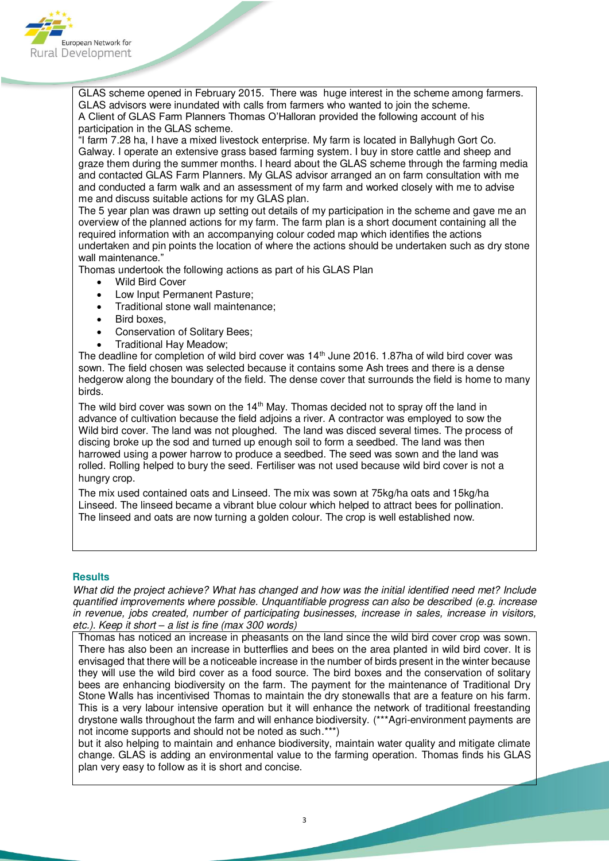

GLAS scheme opened in February 2015. There was huge interest in the scheme among farmers. GLAS advisors were inundated with calls from farmers who wanted to join the scheme. A Client of GLAS Farm Planners Thomas O'Halloran provided the following account of his participation in the GLAS scheme.

"I farm 7.28 ha, I have a mixed livestock enterprise. My farm is located in Ballyhugh Gort Co. Galway. I operate an extensive grass based farming system. I buy in store cattle and sheep and graze them during the summer months. I heard about the GLAS scheme through the farming media and contacted GLAS Farm Planners. My GLAS advisor arranged an on farm consultation with me and conducted a farm walk and an assessment of my farm and worked closely with me to advise me and discuss suitable actions for my GLAS plan.

The 5 year plan was drawn up setting out details of my participation in the scheme and gave me an overview of the planned actions for my farm. The farm plan is a short document containing all the required information with an accompanying colour coded map which identifies the actions undertaken and pin points the location of where the actions should be undertaken such as dry stone wall maintenance."

Thomas undertook the following actions as part of his GLAS Plan

- Wild Bird Cover
- Low Input Permanent Pasture;
- Traditional stone wall maintenance;
- Bird boxes,
- Conservation of Solitary Bees;
- Traditional Hay Meadow;

The deadline for completion of wild bird cover was 14<sup>th</sup> June 2016. 1.87ha of wild bird cover was sown. The field chosen was selected because it contains some Ash trees and there is a dense hedgerow along the boundary of the field. The dense cover that surrounds the field is home to many birds.

The wild bird cover was sown on the  $14<sup>th</sup>$  May. Thomas decided not to spray off the land in advance of cultivation because the field adjoins a river. A contractor was employed to sow the Wild bird cover. The land was not ploughed. The land was disced several times. The process of discing broke up the sod and turned up enough soil to form a seedbed. The land was then harrowed using a power harrow to produce a seedbed. The seed was sown and the land was rolled. Rolling helped to bury the seed. Fertiliser was not used because wild bird cover is not a hungry crop.

The mix used contained oats and Linseed. The mix was sown at 75kg/ha oats and 15kg/ha Linseed. The linseed became a vibrant blue colour which helped to attract bees for pollination. The linseed and oats are now turning a golden colour. The crop is well established now.

#### **Results**

*What did the project achieve? What has changed and how was the initial identified need met? Include quantified improvements where possible. Unquantifiable progress can also be described (e.g. increase in revenue, jobs created, number of participating businesses, increase in sales, increase in visitors, etc.). Keep it short – a list is fine (max 300 words)* 

Thomas has noticed an increase in pheasants on the land since the wild bird cover crop was sown. There has also been an increase in butterflies and bees on the area planted in wild bird cover. It is envisaged that there will be a noticeable increase in the number of birds present in the winter because they will use the wild bird cover as a food source. The bird boxes and the conservation of solitary bees are enhancing biodiversity on the farm. The payment for the maintenance of Traditional Dry Stone Walls has incentivised Thomas to maintain the dry stonewalls that are a feature on his farm. This is a very labour intensive operation but it will enhance the network of traditional freestanding drystone walls throughout the farm and will enhance biodiversity. (\*\*\*Agri-environment payments are not income supports and should not be noted as such.\*\*\*)

but it also helping to maintain and enhance biodiversity, maintain water quality and mitigate climate change. GLAS is adding an environmental value to the farming operation. Thomas finds his GLAS plan very easy to follow as it is short and concise.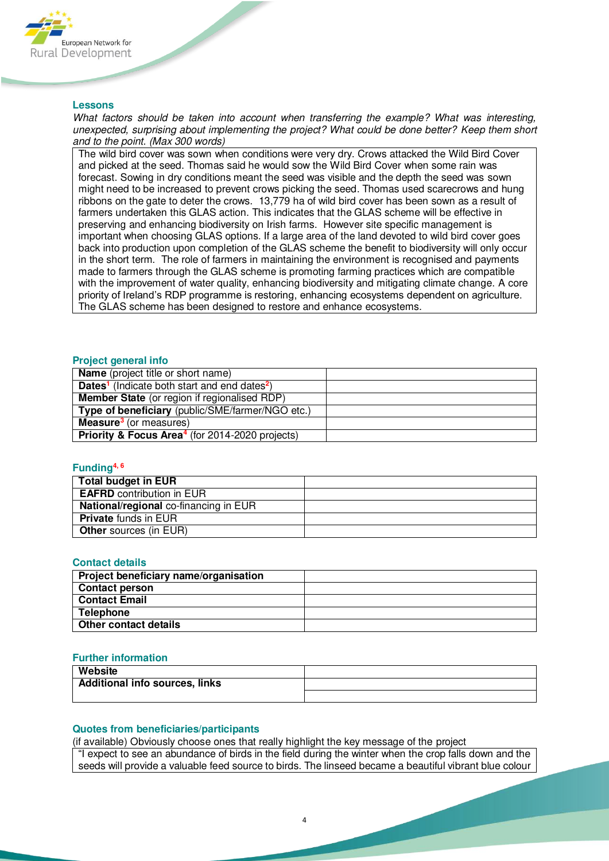

#### **Lessons**

*What factors should be taken into account when transferring the example? What was interesting, unexpected, surprising about implementing the project? What could be done better? Keep them short and to the point. (Max 300 words)* 

The wild bird cover was sown when conditions were very dry. Crows attacked the Wild Bird Cover and picked at the seed. Thomas said he would sow the Wild Bird Cover when some rain was forecast. Sowing in dry conditions meant the seed was visible and the depth the seed was sown might need to be increased to prevent crows picking the seed. Thomas used scarecrows and hung ribbons on the gate to deter the crows. 13,779 ha of wild bird cover has been sown as a result of farmers undertaken this GLAS action. This indicates that the GLAS scheme will be effective in preserving and enhancing biodiversity on Irish farms. However site specific management is important when choosing GLAS options. If a large area of the land devoted to wild bird cover goes back into production upon completion of the GLAS scheme the benefit to biodiversity will only occur in the short term. The role of farmers in maintaining the environment is recognised and payments made to farmers through the GLAS scheme is promoting farming practices which are compatible with the improvement of water quality, enhancing biodiversity and mitigating climate change. A core priority of Ireland's RDP programme is restoring, enhancing ecosystems dependent on agriculture. The GLAS scheme has been designed to restore and enhance ecosystems.

# **Project general info**

| <b>Name</b> (project title or short name)                             |  |
|-----------------------------------------------------------------------|--|
| Dates <sup>1</sup> (Indicate both start and end dates <sup>2</sup> )  |  |
| <b>Member State</b> (or region if regionalised RDP)                   |  |
| Type of beneficiary (public/SME/farmer/NGO etc.)                      |  |
| <b>Measure<sup>3</sup></b> (or measures)                              |  |
| <b>Priority &amp; Focus Area<sup>4</sup></b> (for 2014-2020 projects) |  |

#### **Funding4, 6**

| <b>Total budget in EUR</b>                   |  |
|----------------------------------------------|--|
| <b>EAFRD</b> contribution in EUR             |  |
| <b>National/regional</b> co-financing in EUR |  |
| <b>Private</b> funds in EUR                  |  |
| <b>Other</b> sources (in EUR)                |  |

#### **Contact details**

| Project beneficiary name/organisation |  |
|---------------------------------------|--|
| <b>Contact person</b>                 |  |
| <b>Contact Email</b>                  |  |
| <b>Telephone</b>                      |  |
| Other contact details                 |  |

# **Further information**

| Website                               |  |
|---------------------------------------|--|
| <b>Additional info sources, links</b> |  |
|                                       |  |

#### **Quotes from beneficiaries/participants**

(if available) Obviously choose ones that really highlight the key message of the project "I expect to see an abundance of birds in the field during the winter when the crop falls down and the seeds will provide a valuable feed source to birds. The linseed became a beautiful vibrant blue colour

4